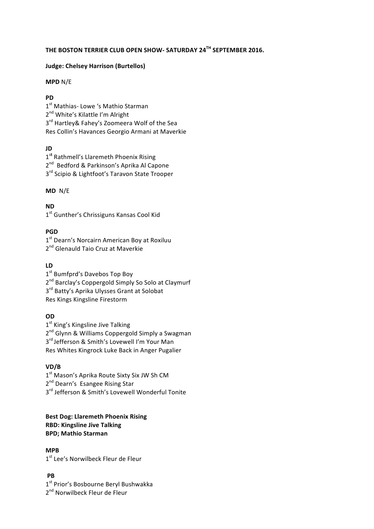# **THE BOSTON TERRIER CLUB OPEN SHOW- SATURDAY 24TH SEPTEMBER 2016.**

#### **Judge: Chelsey Harrison (Burtellos)**

#### **MPD** N/E

#### **PD**

1<sup>st</sup> Mathias- Lowe 's Mathio Starman 2<sup>nd</sup> White's Kilattle I'm Alright  $3<sup>rd</sup>$  Hartley& Fahey's Zoomeera Wolf of the Sea Res Collin's Havances Georgio Armani at Maverkie

## **JD**

1<sup>st</sup> Rathmell's Llaremeth Phoenix Rising 2<sup>nd</sup> Bedford & Parkinson's Aprika Al Capone 3<sup>rd</sup> Scipio & Lightfoot's Taravon State Trooper

## **MD**  N/E

**ND**

1<sup>st</sup> Gunther's Chrissiguns Kansas Cool Kid

## **PGD**

1<sup>st</sup> Dearn's Norcairn American Boy at Roxiluu 2<sup>nd</sup> Glenauld Taio Cruz at Maverkie

# **LD**

1<sup>st</sup> Bumfprd's Davebos Top Boy 2<sup>nd</sup> Barclay's Coppergold Simply So Solo at Claymurf 3<sup>rd</sup> Batty's Aprika Ulysses Grant at Solobat Res Kings Kingsline Firestorm

## **OD**

1<sup>st</sup> King's Kingsline Jive Talking 2<sup>nd</sup> Glynn & Williams Coppergold Simply a Swagman 3<sup>rd</sup> Jefferson & Smith's Lovewell I'm Your Man Res Whites Kingrock Luke Back in Anger Pugalier

# **VD/B**

 $1<sup>st</sup>$  Mason's Aprika Route Sixty Six JW Sh CM 2<sup>nd</sup> Dearn's Esangee Rising Star  $3<sup>rd</sup>$  Jefferson & Smith's Lovewell Wonderful Tonite

#### **Best Dog: Llaremeth Phoenix Rising RBD: Kingsline Jive Talking BPD; Mathio Starman**

#### **MPB**

1st Lee's Norwilbeck Fleur de Fleur

# **PB**

 $1<sup>st</sup> Prior's Bosbourne Beryl Bushwakka$ 2<sup>nd</sup> Norwilbeck Fleur de Fleur